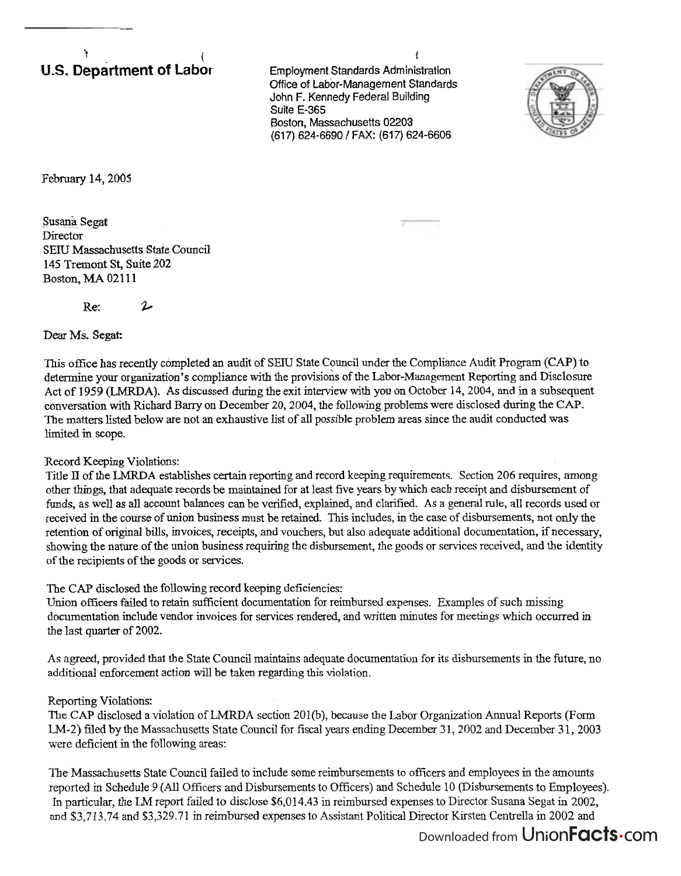## $\mathbf{r}$ **U.S. Department of Labo**r

Employment Standards Administration **Office** of Labor-Management Standards John F. Kennedy Federal Building Suite E-365 Boston, Massachusetts 02203 (617) 624-6690 / FAX: (617) 624-6606

!



February 14,2005

Susana Segat Director SEIU Massachusetts State Council 145 Tremont St, Suite 202 Boston, MA 02111

Re: **2.** 

Dear Ms. Segat:

This office has recently completed an audit of SEIU State Council under the Compliance Audit Program **(CAP)** to determine your organization's compliance with the provisions of the Labor-Management Reporting and Disclosure Act of 1959 **(LMRDA).** As discussed during the exit interview with you on October 14,2004, and in a subsequent conversation with Richard Barry on December 20,2004, the following problems were disclosed during the **CAP.**  The matters listed below are not an exhaustive list of all possible problem areas since the audit conducted was limited in scope.

## Record Keeping Violations:

Title 11 of the **LMRDA** establishes certain reporting and record keeping requirements. Section 206 requires, among other things, that adequate records be maintained for at least five years by which each receipt and disbursement of funds, as well as all account balances can be verified, explained, and clarified. As a general rule, all records used or received in the course of union business must be retained. This includes, in the case of disbursements, not only the retention of original bills, invoices, receipts, and vouchers, but also adequate additional documentation, if necessary, showing the nature of the union business requiring the disbursement, the goods or services received, and the identity of the recipients of the goods or services.

The CAP disclosed the following record keeping deficiencies:

Union officers failed to retain sufficient documentation for reimbursed expenses. Examples of such missing documentation include vendor invoices for services rendered, and written minutes for meetings which occurred in the last quarter of 2002.

As agreed, provided that the State Council maintains adequate documentation for its disbursements in the future, no additional enforcement action will be taken regarding this violation.

## Reporting Violations:

The CAP disclosed a violation of LMRDA section 201(b), because the Labor Organization Annual Reports (Form LM-2) filed by the Massachusetts State Council for fiscal years ending December 31, 2002 and December 31, 2003 were deficient in the following areas:

The Massachusetts State Council failed to include some reimbursements to officers and employees in the amounts reported in Schedule 9 (All Officers and Disbursements to Officers) and Schedule 10 (Disbursements to Employees). In particular, the LM report failed to disclose \$6,014.43 in reimbursed expenses to Director Susana Segat in 2002, and \$3,713.74 and \$3,329.71 in reimbursed expenses to Assistant Political Director Kirsten Centrella in 2002 and

## Downloaded from UnionFacts.com